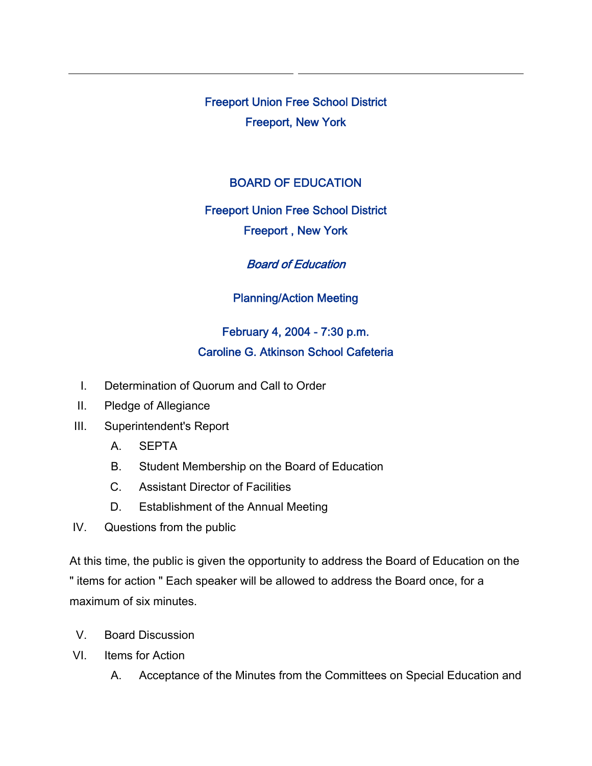Freeport Union Free School District Freeport, New York

### BOARD OF EDUCATION

#### Freeport Union Free School District

### Freeport , New York

# Board of Education

# Planning/Action Meeting

# February 4, 2004 - 7:30 p.m. Caroline G. Atkinson School Cafeteria

- I. Determination of Quorum and Call to Order
- II. Pledge of Allegiance
- III. Superintendent's Report
	- A. SEPTA
	- B. Student Membership on the Board of Education
	- C. Assistant Director of Facilities
	- D. Establishment of the Annual Meeting
- IV. Questions from the public

At this time, the public is given the opportunity to address the Board of Education on the " items for action " Each speaker will be allowed to address the Board once, for a maximum of six minutes.

- V. Board Discussion
- VI. Items for Action
	- A. Acceptance of the Minutes from the Committees on Special Education and